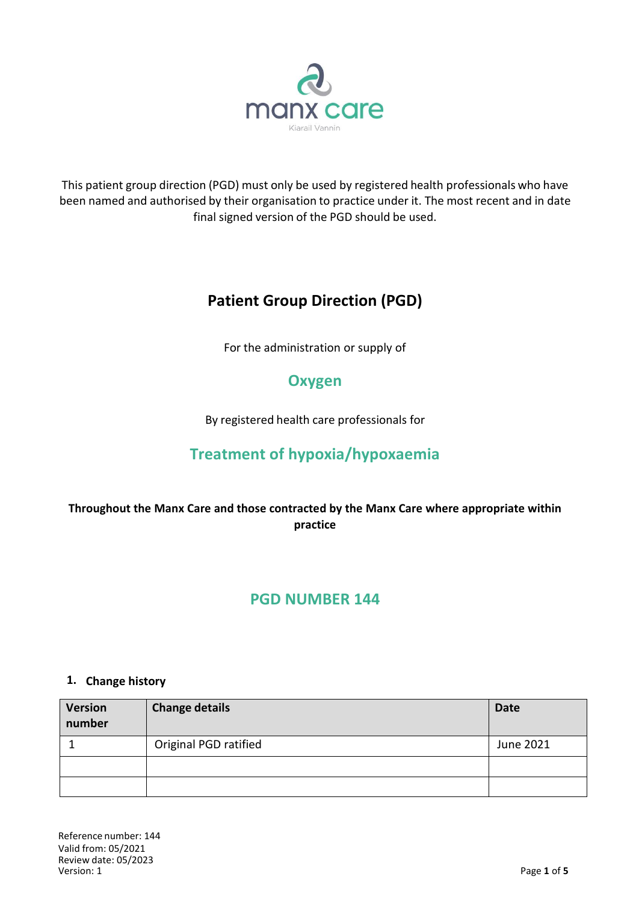

This patient group direction (PGD) must only be used by registered health professionals who have been named and authorised by their organisation to practice under it. The most recent and in date final signed version of the PGD should be used.

# **Patient Group Direction (PGD)**

For the administration or supply of

# **Oxygen**

By registered health care professionals for

# **Treatment of hypoxia/hypoxaemia**

## **Throughout the Manx Care and those contracted by the Manx Care where appropriate within practice**

## **PGD NUMBER 144**

### **1. Change history**

| <b>Version</b><br>number | <b>Change details</b> | <b>Date</b> |
|--------------------------|-----------------------|-------------|
|                          | Original PGD ratified | June 2021   |
|                          |                       |             |
|                          |                       |             |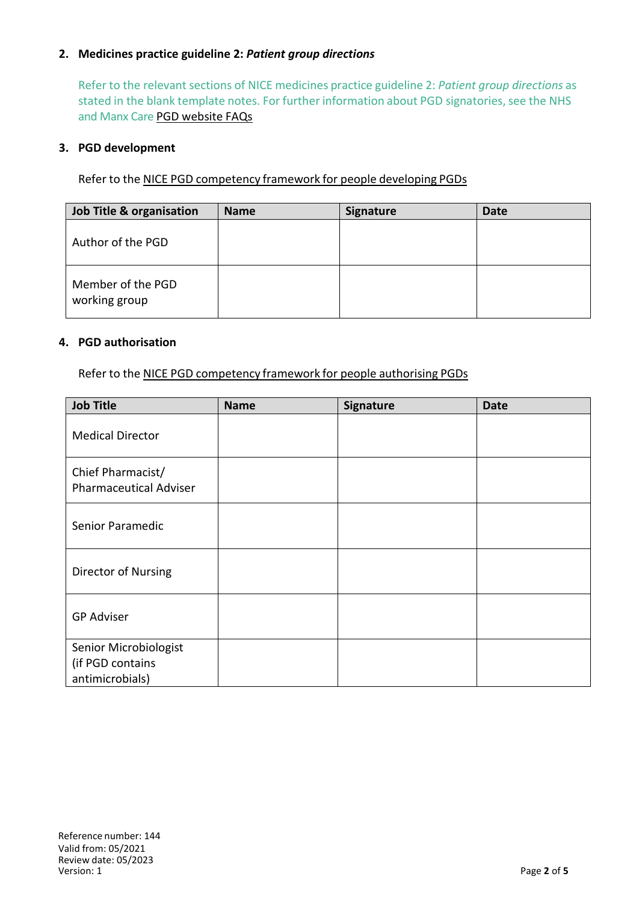### **2. Medicines practice guideline 2:** *Patient group directions*

Refer to the relevant sections of NICE medicines practice guideline 2: *Patient group directions* as stated in the blank template notes. For further information about PGD signatories, see the NHS and Manx Care PGD website FAQs

#### **3. PGD development**

Refer to the NICE PGD competency framework for people developing PGDs

| <b>Job Title &amp; organisation</b> | <b>Name</b> | <b>Signature</b> | <b>Date</b> |
|-------------------------------------|-------------|------------------|-------------|
| Author of the PGD                   |             |                  |             |
| Member of the PGD<br>working group  |             |                  |             |

#### **4. PGD authorisation**

Refer to the NICE PGD competency framework for people authorising PGDs

| <b>Job Title</b>                                             | <b>Name</b> | <b>Signature</b> | <b>Date</b> |
|--------------------------------------------------------------|-------------|------------------|-------------|
| <b>Medical Director</b>                                      |             |                  |             |
| Chief Pharmacist/<br><b>Pharmaceutical Adviser</b>           |             |                  |             |
| Senior Paramedic                                             |             |                  |             |
| Director of Nursing                                          |             |                  |             |
| <b>GP Adviser</b>                                            |             |                  |             |
| Senior Microbiologist<br>(if PGD contains<br>antimicrobials) |             |                  |             |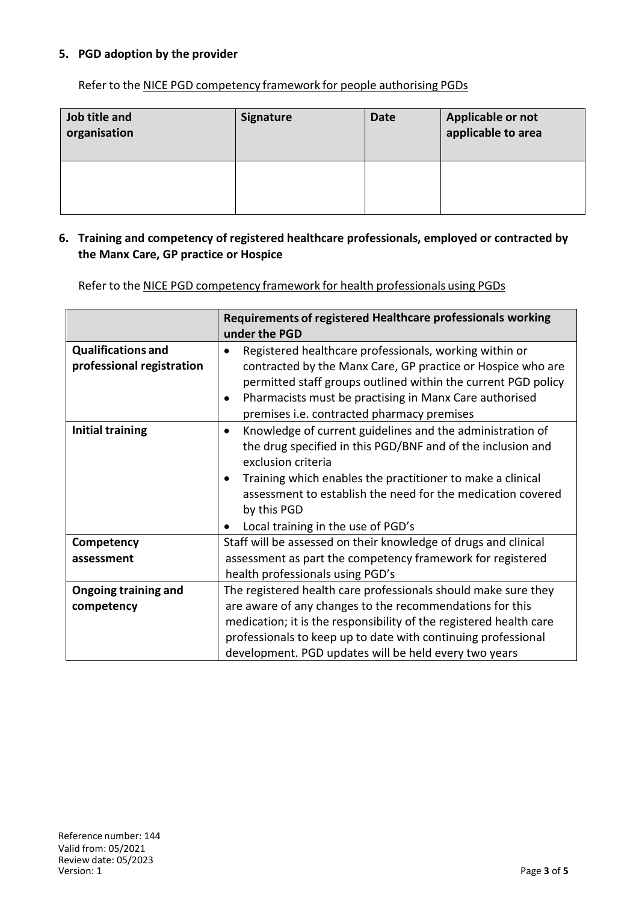#### **5. PGD adoption by the provider**

Refer to the NICE PGD competency framework for people authorising PGDs

| Job title and<br>organisation | <b>Signature</b> | <b>Date</b> | Applicable or not<br>applicable to area |
|-------------------------------|------------------|-------------|-----------------------------------------|
|                               |                  |             |                                         |

#### **6. Training and competency of registered healthcare professionals, employed or contracted by the Manx Care, GP practice or Hospice**

Refer to the NICE PGD competency framework for health professionals using PGDs

|                                                        | Requirements of registered Healthcare professionals working<br>under the PGD                                                                                                                                                                                                                                                                                            |
|--------------------------------------------------------|-------------------------------------------------------------------------------------------------------------------------------------------------------------------------------------------------------------------------------------------------------------------------------------------------------------------------------------------------------------------------|
| <b>Qualifications and</b><br>professional registration | Registered healthcare professionals, working within or<br>$\bullet$<br>contracted by the Manx Care, GP practice or Hospice who are<br>permitted staff groups outlined within the current PGD policy<br>Pharmacists must be practising in Manx Care authorised<br>premises i.e. contracted pharmacy premises                                                             |
| <b>Initial training</b>                                | Knowledge of current guidelines and the administration of<br>$\bullet$<br>the drug specified in this PGD/BNF and of the inclusion and<br>exclusion criteria<br>Training which enables the practitioner to make a clinical<br>$\bullet$<br>assessment to establish the need for the medication covered<br>by this PGD<br>Local training in the use of PGD's<br>$\bullet$ |
| Competency                                             | Staff will be assessed on their knowledge of drugs and clinical                                                                                                                                                                                                                                                                                                         |
| assessment                                             | assessment as part the competency framework for registered<br>health professionals using PGD's                                                                                                                                                                                                                                                                          |
| <b>Ongoing training and</b>                            | The registered health care professionals should make sure they                                                                                                                                                                                                                                                                                                          |
| competency                                             | are aware of any changes to the recommendations for this                                                                                                                                                                                                                                                                                                                |
|                                                        | medication; it is the responsibility of the registered health care                                                                                                                                                                                                                                                                                                      |
|                                                        | professionals to keep up to date with continuing professional                                                                                                                                                                                                                                                                                                           |
|                                                        | development. PGD updates will be held every two years                                                                                                                                                                                                                                                                                                                   |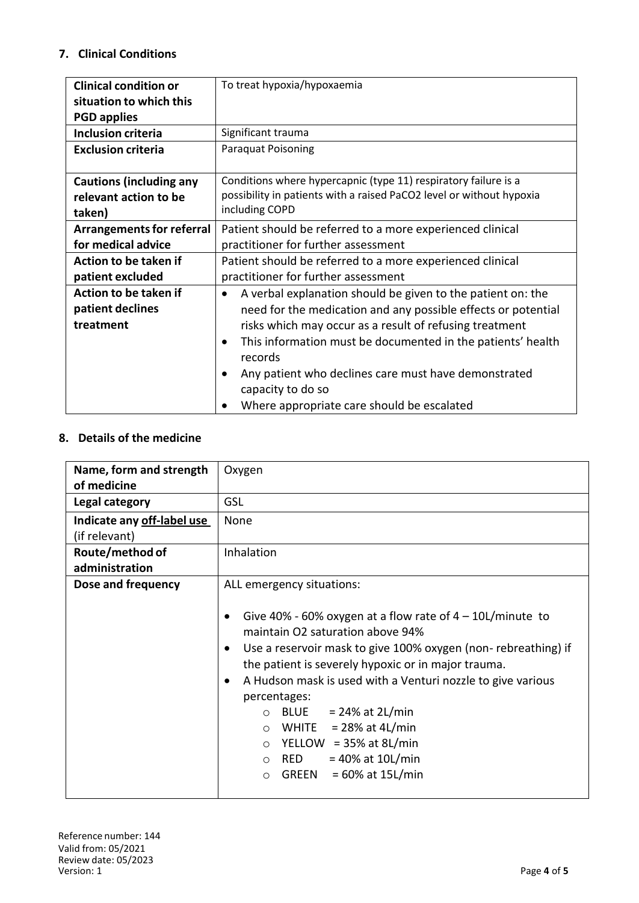### **7. Clinical Conditions**

| <b>Clinical condition or</b>     | To treat hypoxia/hypoxaemia                                                         |
|----------------------------------|-------------------------------------------------------------------------------------|
| situation to which this          |                                                                                     |
| <b>PGD applies</b>               |                                                                                     |
| <b>Inclusion criteria</b>        | Significant trauma                                                                  |
| <b>Exclusion criteria</b>        | <b>Paraquat Poisoning</b>                                                           |
| <b>Cautions (including any</b>   | Conditions where hypercapnic (type 11) respiratory failure is a                     |
| relevant action to be            | possibility in patients with a raised PaCO2 level or without hypoxia                |
| taken)                           | including COPD                                                                      |
| <b>Arrangements for referral</b> | Patient should be referred to a more experienced clinical                           |
| for medical advice               | practitioner for further assessment                                                 |
| Action to be taken if            | Patient should be referred to a more experienced clinical                           |
| patient excluded                 | practitioner for further assessment                                                 |
| Action to be taken if            | A verbal explanation should be given to the patient on: the<br>٠                    |
| patient declines                 | need for the medication and any possible effects or potential                       |
| treatment                        | risks which may occur as a result of refusing treatment                             |
|                                  | This information must be documented in the patients' health<br>$\bullet$<br>records |
|                                  | Any patient who declines care must have demonstrated<br>٠                           |
|                                  | capacity to do so                                                                   |
|                                  | Where appropriate care should be escalated                                          |

### **8. Details of the medicine**

| Name, form and strength<br>of medicine      | Oxygen                                                                                                                                                                                                                                                                                                                                                                                                                                                                                                                       |  |
|---------------------------------------------|------------------------------------------------------------------------------------------------------------------------------------------------------------------------------------------------------------------------------------------------------------------------------------------------------------------------------------------------------------------------------------------------------------------------------------------------------------------------------------------------------------------------------|--|
| Legal category                              | <b>GSL</b>                                                                                                                                                                                                                                                                                                                                                                                                                                                                                                                   |  |
| Indicate any off-label use<br>(if relevant) | None                                                                                                                                                                                                                                                                                                                                                                                                                                                                                                                         |  |
| Route/method of<br>administration           | Inhalation                                                                                                                                                                                                                                                                                                                                                                                                                                                                                                                   |  |
| Dose and frequency                          | ALL emergency situations:<br>Give 40% - 60% oxygen at a flow rate of $4 - 10$ L/minute to<br>maintain O2 saturation above 94%<br>Use a reservoir mask to give 100% oxygen (non-rebreathing) if<br>$\bullet$<br>the patient is severely hypoxic or in major trauma.<br>A Hudson mask is used with a Venturi nozzle to give various<br>$\bullet$<br>percentages:<br>BLUE $= 24\%$ at 2L/min<br>$\circ$<br>WHITE $= 28\%$ at 4L/min<br>$\circ$<br>YELLOW = $35\%$ at 8L/min<br>$\circ$<br>$= 40\%$ at 10L/min<br>RED<br>$\circ$ |  |
|                                             | $= 60\%$ at 15L/min<br>GREEN<br>$\bigcirc$                                                                                                                                                                                                                                                                                                                                                                                                                                                                                   |  |